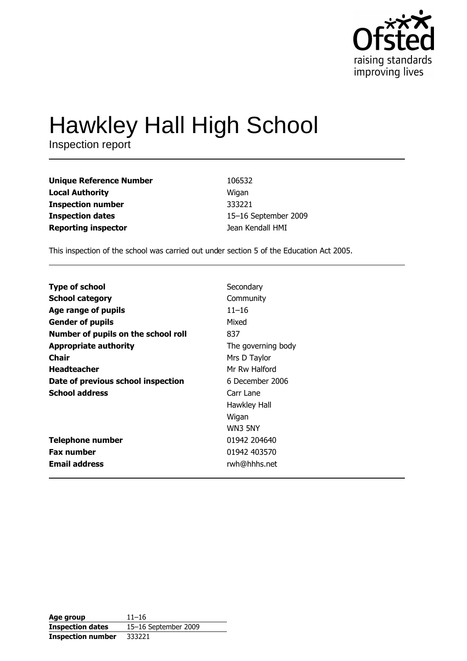

# Hawkley Hall High School

| <b>Unique Reference Number</b> | 106532               |
|--------------------------------|----------------------|
| <b>Local Authority</b>         | Wigan                |
| <b>Inspection number</b>       | 333221               |
| <b>Inspection dates</b>        | 15-16 September 2009 |
| <b>Reporting inspector</b>     | Jean Kendall HMI     |

This inspection of the school was carried out under section 5 of the Education Act 2005.

| <b>Type of school</b>               | Secondary          |
|-------------------------------------|--------------------|
| <b>School category</b>              | Community          |
| Age range of pupils                 | $11 - 16$          |
| <b>Gender of pupils</b>             | Mixed              |
| Number of pupils on the school roll | 837                |
| <b>Appropriate authority</b>        | The governing body |
| Chair                               | Mrs D Taylor       |
| <b>Headteacher</b>                  | Mr Rw Halford      |
| Date of previous school inspection  | 6 December 2006    |
| <b>School address</b>               | Carr Lane          |
|                                     | Hawkley Hall       |
|                                     | Wigan              |
|                                     | WN3 5NY            |
| <b>Telephone number</b>             | 01942 204640       |
| <b>Fax number</b>                   | 01942 403570       |
| <b>Email address</b>                | rwh@hhhs.net       |

| Age group         | $11 - 16$            |
|-------------------|----------------------|
| Inspection dates  | 15-16 September 2009 |
| Inspection number | 333221               |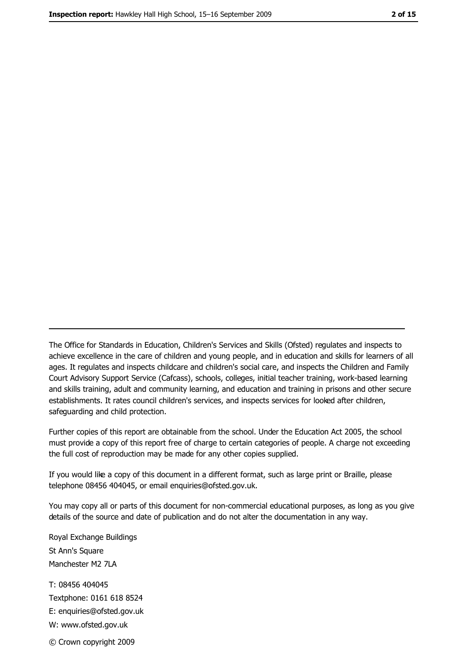The Office for Standards in Education, Children's Services and Skills (Ofsted) regulates and inspects to achieve excellence in the care of children and young people, and in education and skills for learners of all ages. It regulates and inspects childcare and children's social care, and inspects the Children and Family Court Advisory Support Service (Cafcass), schools, colleges, initial teacher training, work-based learning and skills training, adult and community learning, and education and training in prisons and other secure establishments. It rates council children's services, and inspects services for looked after children, safequarding and child protection.

Further copies of this report are obtainable from the school. Under the Education Act 2005, the school must provide a copy of this report free of charge to certain categories of people. A charge not exceeding the full cost of reproduction may be made for any other copies supplied.

If you would like a copy of this document in a different format, such as large print or Braille, please telephone 08456 404045, or email enquiries@ofsted.gov.uk.

You may copy all or parts of this document for non-commercial educational purposes, as long as you give details of the source and date of publication and do not alter the documentation in any way.

Royal Exchange Buildings St Ann's Square Manchester M2 7LA T: 08456 404045 Textphone: 0161 618 8524 E: enquiries@ofsted.gov.uk W: www.ofsted.gov.uk © Crown copyright 2009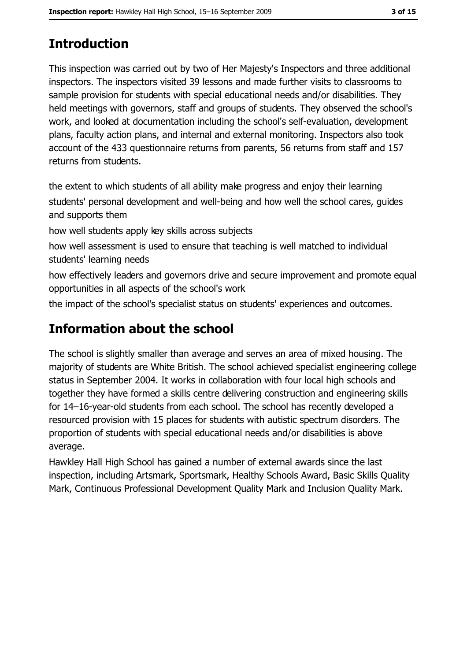# **Introduction**

This inspection was carried out by two of Her Majesty's Inspectors and three additional inspectors. The inspectors visited 39 lessons and made further visits to classrooms to sample provision for students with special educational needs and/or disabilities. They held meetings with governors, staff and groups of students. They observed the school's work, and looked at documentation including the school's self-evaluation, development plans, faculty action plans, and internal and external monitoring. Inspectors also took account of the 433 questionnaire returns from parents, 56 returns from staff and 157 returns from students.

the extent to which students of all ability make progress and enjoy their learning students' personal development and well-being and how well the school cares, quides and supports them

how well students apply key skills across subjects

how well assessment is used to ensure that teaching is well matched to individual students' learning needs

how effectively leaders and governors drive and secure improvement and promote equal opportunities in all aspects of the school's work

the impact of the school's specialist status on students' experiences and outcomes.

# **Information about the school**

The school is slightly smaller than average and serves an area of mixed housing. The majority of students are White British. The school achieved specialist engineering college status in September 2004. It works in collaboration with four local high schools and together they have formed a skills centre delivering construction and engineering skills for 14–16-year-old students from each school. The school has recently developed a resourced provision with 15 places for students with autistic spectrum disorders. The proportion of students with special educational needs and/or disabilities is above average.

Hawkley Hall High School has gained a number of external awards since the last inspection, including Artsmark, Sportsmark, Healthy Schools Award, Basic Skills Quality Mark, Continuous Professional Development Quality Mark and Inclusion Quality Mark.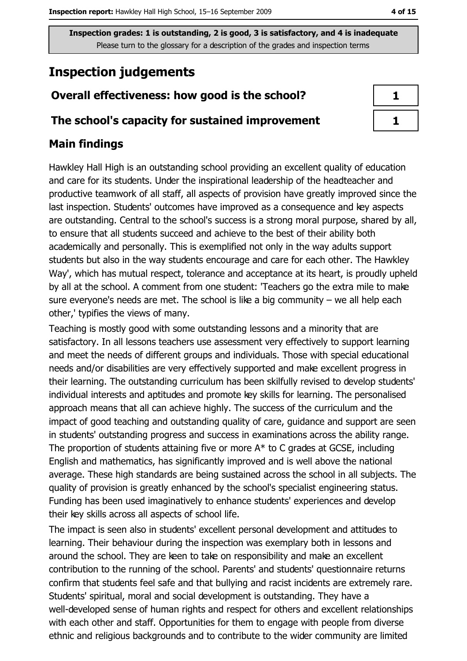# **Inspection judgements**

# Overall effectiveness: how good is the school?

## The school's capacity for sustained improvement

# **Main findings**

Hawkley Hall High is an outstanding school providing an excellent quality of education and care for its students. Under the inspirational leadership of the headteacher and productive teamwork of all staff, all aspects of provision have greatly improved since the last inspection. Students' outcomes have improved as a consequence and key aspects are outstanding. Central to the school's success is a strong moral purpose, shared by all, to ensure that all students succeed and achieve to the best of their ability both academically and personally. This is exemplified not only in the way adults support students but also in the way students encourage and care for each other. The Hawkley Way', which has mutual respect, tolerance and acceptance at its heart, is proudly upheld by all at the school. A comment from one student: 'Teachers go the extra mile to make sure everyone's needs are met. The school is like a big community  $-$  we all help each other,' typifies the views of many.

Teaching is mostly good with some outstanding lessons and a minority that are satisfactory. In all lessons teachers use assessment very effectively to support learning and meet the needs of different groups and individuals. Those with special educational needs and/or disabilities are very effectively supported and make excellent progress in their learning. The outstanding curriculum has been skilfully revised to develop students' individual interests and aptitudes and promote key skills for learning. The personalised approach means that all can achieve highly. The success of the curriculum and the impact of good teaching and outstanding quality of care, guidance and support are seen in students' outstanding progress and success in examinations across the ability range. The proportion of students attaining five or more  $A^*$  to C grades at GCSE, including English and mathematics, has significantly improved and is well above the national average. These high standards are being sustained across the school in all subjects. The quality of provision is greatly enhanced by the school's specialist engineering status. Funding has been used imaginatively to enhance students' experiences and develop their key skills across all aspects of school life.

The impact is seen also in students' excellent personal development and attitudes to learning. Their behaviour during the inspection was exemplary both in lessons and around the school. They are keen to take on responsibility and make an excellent contribution to the running of the school. Parents' and students' questionnaire returns confirm that students feel safe and that bullying and racist incidents are extremely rare. Students' spiritual, moral and social development is outstanding. They have a well-developed sense of human rights and respect for others and excellent relationships with each other and staff. Opportunities for them to engage with people from diverse ethnic and religious backgrounds and to contribute to the wider community are limited

| ۰ |  |
|---|--|
|   |  |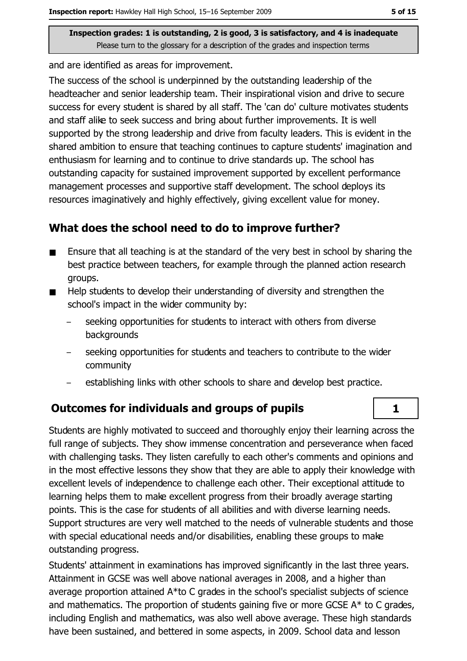and are identified as areas for improvement.

The success of the school is underpinned by the outstanding leadership of the headteacher and senior leadership team. Their inspirational vision and drive to secure success for every student is shared by all staff. The 'can do' culture motivates students and staff alike to seek success and bring about further improvements. It is well supported by the strong leadership and drive from faculty leaders. This is evident in the shared ambition to ensure that teaching continues to capture students' imagination and enthusiasm for learning and to continue to drive standards up. The school has outstanding capacity for sustained improvement supported by excellent performance management processes and supportive staff development. The school deploys its resources imaginatively and highly effectively, giving excellent value for money.

# What does the school need to do to improve further?

- Ensure that all teaching is at the standard of the very best in school by sharing the  $\blacksquare$ best practice between teachers, for example through the planned action research groups.
- Help students to develop their understanding of diversity and strengthen the  $\blacksquare$ school's impact in the wider community by:
	- seeking opportunities for students to interact with others from diverse backgrounds
	- seeking opportunities for students and teachers to contribute to the wider community
	- establishing links with other schools to share and develop best practice.

## **Outcomes for individuals and groups of pupils**

Students are highly motivated to succeed and thoroughly enjoy their learning across the full range of subjects. They show immense concentration and perseverance when faced with challenging tasks. They listen carefully to each other's comments and opinions and in the most effective lessons they show that they are able to apply their knowledge with excellent levels of independence to challenge each other. Their exceptional attitude to learning helps them to make excellent progress from their broadly average starting points. This is the case for students of all abilities and with diverse learning needs. Support structures are very well matched to the needs of vulnerable students and those with special educational needs and/or disabilities, enabling these groups to make outstanding progress.

Students' attainment in examinations has improved significantly in the last three years. Attainment in GCSE was well above national averages in 2008, and a higher than average proportion attained A\*to C grades in the school's specialist subjects of science and mathematics. The proportion of students gaining five or more GCSE A\* to C grades, including English and mathematics, was also well above average. These high standards have been sustained, and bettered in some aspects, in 2009. School data and lesson

 $\mathbf{1}$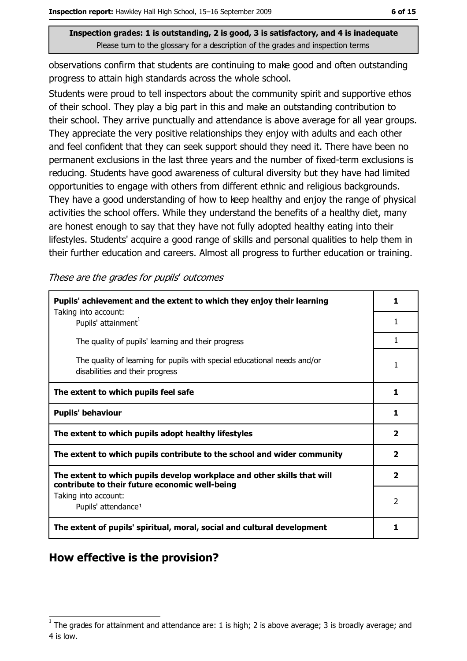observations confirm that students are continuing to make good and often outstanding progress to attain high standards across the whole school.

Students were proud to tell inspectors about the community spirit and supportive ethos of their school. They play a big part in this and make an outstanding contribution to their school. They arrive punctually and attendance is above average for all year groups. They appreciate the very positive relationships they enjoy with adults and each other and feel confident that they can seek support should they need it. There have been no permanent exclusions in the last three years and the number of fixed-term exclusions is reducing. Students have good awareness of cultural diversity but they have had limited opportunities to engage with others from different ethnic and religious backgrounds. They have a good understanding of how to keep healthy and enjoy the range of physical activities the school offers. While they understand the benefits of a healthy diet, many are honest enough to say that they have not fully adopted healthy eating into their lifestyles. Students' acquire a good range of skills and personal qualities to help them in their further education and careers. Almost all progress to further education or training.

These are the grades for pupils' outcomes

| Pupils' achievement and the extent to which they enjoy their learning                                                     |              |
|---------------------------------------------------------------------------------------------------------------------------|--------------|
| Taking into account:<br>Pupils' attainment <sup>1</sup>                                                                   |              |
| The quality of pupils' learning and their progress                                                                        | 1            |
| The quality of learning for pupils with special educational needs and/or<br>disabilities and their progress               | 1            |
| The extent to which pupils feel safe                                                                                      |              |
| <b>Pupils' behaviour</b>                                                                                                  |              |
| The extent to which pupils adopt healthy lifestyles                                                                       |              |
| The extent to which pupils contribute to the school and wider community                                                   |              |
| The extent to which pupils develop workplace and other skills that will<br>contribute to their future economic well-being | $\mathbf{2}$ |
| Taking into account:<br>Pupils' attendance <sup>1</sup>                                                                   |              |
| The extent of pupils' spiritual, moral, social and cultural development                                                   |              |

## How effective is the provision?

The grades for attainment and attendance are: 1 is high; 2 is above average; 3 is broadly average; and 4 is low.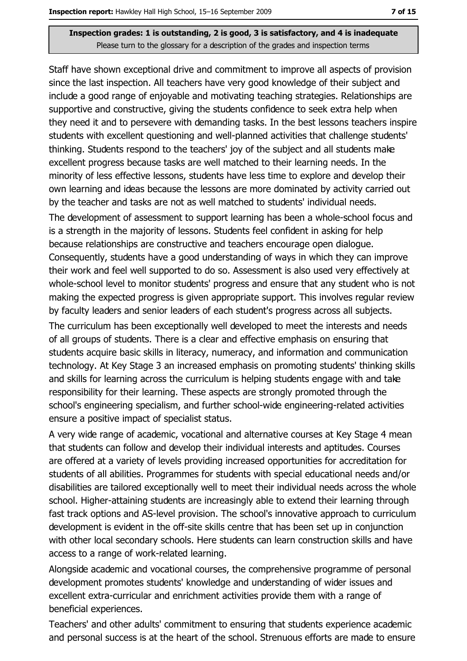Staff have shown exceptional drive and commitment to improve all aspects of provision since the last inspection. All teachers have very good knowledge of their subject and include a good range of enjoyable and motivating teaching strategies. Relationships are supportive and constructive, giving the students confidence to seek extra help when they need it and to persevere with demanding tasks. In the best lessons teachers inspire students with excellent questioning and well-planned activities that challenge students' thinking. Students respond to the teachers' joy of the subject and all students make excellent progress because tasks are well matched to their learning needs. In the minority of less effective lessons, students have less time to explore and develop their own learning and ideas because the lessons are more dominated by activity carried out by the teacher and tasks are not as well matched to students' individual needs.

The development of assessment to support learning has been a whole-school focus and is a strength in the majority of lessons. Students feel confident in asking for help because relationships are constructive and teachers encourage open dialogue. Consequently, students have a good understanding of ways in which they can improve their work and feel well supported to do so. Assessment is also used very effectively at whole-school level to monitor students' progress and ensure that any student who is not making the expected progress is given appropriate support. This involves regular review by faculty leaders and senior leaders of each student's progress across all subjects.

The curriculum has been exceptionally well developed to meet the interests and needs of all groups of students. There is a clear and effective emphasis on ensuring that students acquire basic skills in literacy, numeracy, and information and communication technology. At Key Stage 3 an increased emphasis on promoting students' thinking skills and skills for learning across the curriculum is helping students engage with and take responsibility for their learning. These aspects are strongly promoted through the school's engineering specialism, and further school-wide engineering-related activities ensure a positive impact of specialist status.

A very wide range of academic, vocational and alternative courses at Key Stage 4 mean that students can follow and develop their individual interests and aptitudes. Courses are offered at a variety of levels providing increased opportunities for accreditation for students of all abilities. Programmes for students with special educational needs and/or disabilities are tailored exceptionally well to meet their individual needs across the whole school. Higher-attaining students are increasingly able to extend their learning through fast track options and AS-level provision. The school's innovative approach to curriculum development is evident in the off-site skills centre that has been set up in conjunction with other local secondary schools. Here students can learn construction skills and have access to a range of work-related learning.

Alongside academic and vocational courses, the comprehensive programme of personal development promotes students' knowledge and understanding of wider issues and excellent extra-curricular and enrichment activities provide them with a range of beneficial experiences.

Teachers' and other adults' commitment to ensuring that students experience academic and personal success is at the heart of the school. Strenuous efforts are made to ensure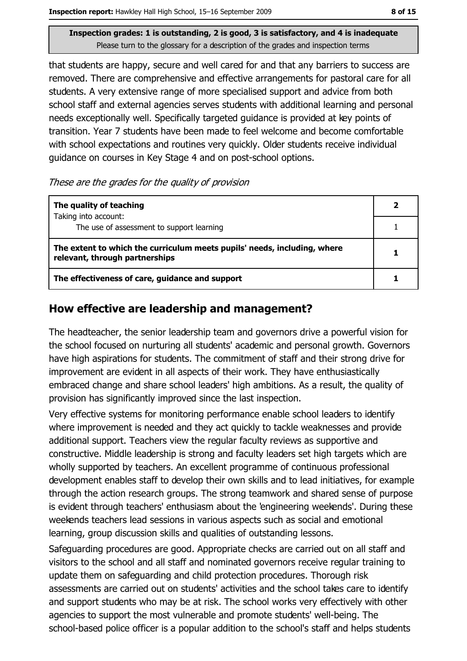that students are happy, secure and well cared for and that any barriers to success are removed. There are comprehensive and effective arrangements for pastoral care for all students. A very extensive range of more specialised support and advice from both school staff and external agencies serves students with additional learning and personal needs exceptionally well. Specifically targeted quidance is provided at key points of transition. Year 7 students have been made to feel welcome and become comfortable with school expectations and routines very quickly. Older students receive individual guidance on courses in Key Stage 4 and on post-school options.

#### These are the grades for the quality of provision

| The quality of teaching                                                                                    |  |
|------------------------------------------------------------------------------------------------------------|--|
| Taking into account:<br>The use of assessment to support learning                                          |  |
| The extent to which the curriculum meets pupils' needs, including, where<br>relevant, through partnerships |  |
| The effectiveness of care, guidance and support                                                            |  |

## How effective are leadership and management?

The headteacher, the senior leadership team and governors drive a powerful vision for the school focused on nurturing all students' academic and personal growth. Governors have high aspirations for students. The commitment of staff and their strong drive for improvement are evident in all aspects of their work. They have enthusiastically embraced change and share school leaders' high ambitions. As a result, the quality of provision has significantly improved since the last inspection.

Very effective systems for monitoring performance enable school leaders to identify where improvement is needed and they act quickly to tackle weaknesses and provide additional support. Teachers view the regular faculty reviews as supportive and constructive. Middle leadership is strong and faculty leaders set high targets which are wholly supported by teachers. An excellent programme of continuous professional development enables staff to develop their own skills and to lead initiatives, for example through the action research groups. The strong teamwork and shared sense of purpose is evident through teachers' enthusiasm about the 'engineering weekends'. During these weekends teachers lead sessions in various aspects such as social and emotional learning, group discussion skills and qualities of outstanding lessons.

Safeguarding procedures are good. Appropriate checks are carried out on all staff and visitors to the school and all staff and nominated governors receive regular training to update them on safeguarding and child protection procedures. Thorough risk assessments are carried out on students' activities and the school takes care to identify and support students who may be at risk. The school works very effectively with other agencies to support the most vulnerable and promote students' well-being. The school-based police officer is a popular addition to the school's staff and helps students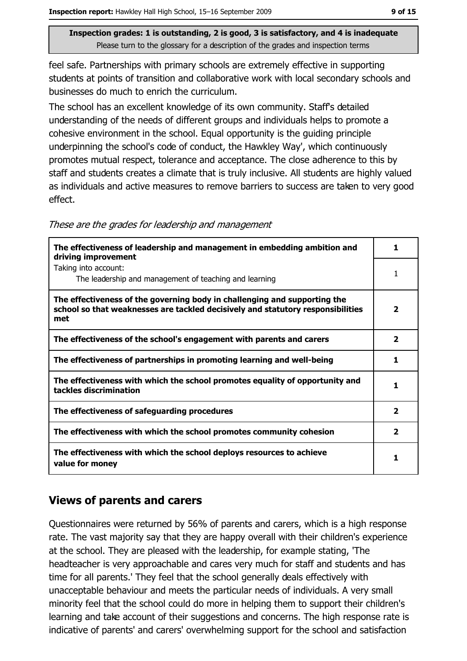feel safe. Partnerships with primary schools are extremely effective in supporting students at points of transition and collaborative work with local secondary schools and businesses do much to enrich the curriculum.

The school has an excellent knowledge of its own community. Staff's detailed understanding of the needs of different groups and individuals helps to promote a cohesive environment in the school. Equal opportunity is the quiding principle underpinning the school's code of conduct, the Hawkley Way', which continuously promotes mutual respect, tolerance and acceptance. The close adherence to this by staff and students creates a climate that is truly inclusive. All students are highly valued as individuals and active measures to remove barriers to success are taken to very good effect.

| These are the grades for leadership and management |  |  |  |  |  |  |
|----------------------------------------------------|--|--|--|--|--|--|
|----------------------------------------------------|--|--|--|--|--|--|

| The effectiveness of leadership and management in embedding ambition and<br>driving improvement                                                                     |                         |
|---------------------------------------------------------------------------------------------------------------------------------------------------------------------|-------------------------|
| Taking into account:<br>The leadership and management of teaching and learning                                                                                      |                         |
| The effectiveness of the governing body in challenging and supporting the<br>school so that weaknesses are tackled decisively and statutory responsibilities<br>met | $\overline{\mathbf{2}}$ |
| The effectiveness of the school's engagement with parents and carers                                                                                                | $\overline{\mathbf{2}}$ |
| The effectiveness of partnerships in promoting learning and well-being                                                                                              | 1                       |
| The effectiveness with which the school promotes equality of opportunity and<br>tackles discrimination                                                              |                         |
| The effectiveness of safeguarding procedures                                                                                                                        | $\mathbf{z}$            |
| The effectiveness with which the school promotes community cohesion                                                                                                 | $\overline{2}$          |
| The effectiveness with which the school deploys resources to achieve<br>value for money                                                                             |                         |

## **Views of parents and carers**

Questionnaires were returned by 56% of parents and carers, which is a high response rate. The vast majority say that they are happy overall with their children's experience at the school. They are pleased with the leadership, for example stating, 'The headteacher is very approachable and cares very much for staff and students and has time for all parents.' They feel that the school generally deals effectively with unacceptable behaviour and meets the particular needs of individuals. A very small minority feel that the school could do more in helping them to support their children's learning and take account of their suggestions and concerns. The high response rate is indicative of parents' and carers' overwhelming support for the school and satisfaction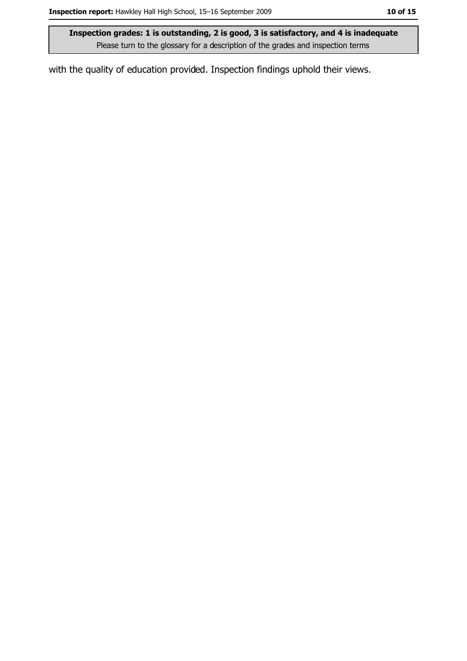with the quality of education provided. Inspection findings uphold their views.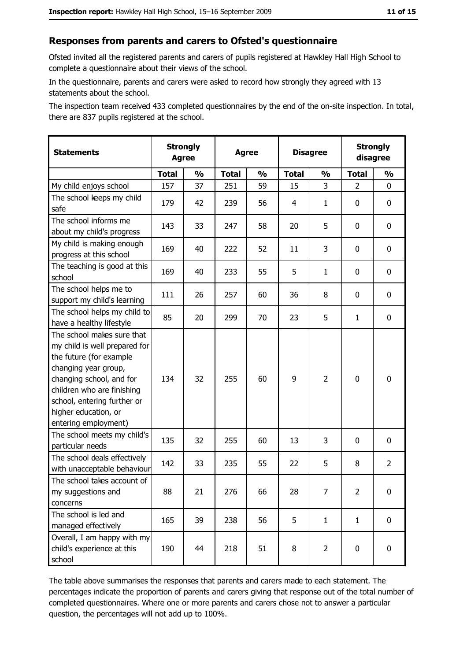#### Responses from parents and carers to Ofsted's questionnaire

Ofsted invited all the registered parents and carers of pupils registered at Hawkley Hall High School to complete a questionnaire about their views of the school.

In the questionnaire, parents and carers were asked to record how strongly they agreed with 13 statements about the school.

The inspection team received 433 completed questionnaires by the end of the on-site inspection. In total, there are 837 pupils registered at the school.

| <b>Statements</b>                                                                                                                                                                                                                                       | <b>Strongly</b><br><b>Agree</b> |               | <b>Agree</b> |               | <b>Disagree</b> |                | <b>Strongly</b><br>disagree |                |
|---------------------------------------------------------------------------------------------------------------------------------------------------------------------------------------------------------------------------------------------------------|---------------------------------|---------------|--------------|---------------|-----------------|----------------|-----------------------------|----------------|
|                                                                                                                                                                                                                                                         | <b>Total</b>                    | $\frac{1}{2}$ | <b>Total</b> | $\frac{1}{2}$ | <b>Total</b>    | $\frac{1}{2}$  | <b>Total</b>                | $\frac{1}{2}$  |
| My child enjoys school                                                                                                                                                                                                                                  | 157                             | 37            | 251          | 59            | 15              | 3              | $\overline{2}$              | 0              |
| The school keeps my child<br>safe                                                                                                                                                                                                                       | 179                             | 42            | 239          | 56            | 4               | 1              | 0                           | 0              |
| The school informs me<br>about my child's progress                                                                                                                                                                                                      | 143                             | 33            | 247          | 58            | 20              | 5              | 0                           | $\mathbf 0$    |
| My child is making enough<br>progress at this school                                                                                                                                                                                                    | 169                             | 40            | 222          | 52            | 11              | 3              | 0                           | 0              |
| The teaching is good at this<br>school                                                                                                                                                                                                                  | 169                             | 40            | 233          | 55            | 5               | $\mathbf{1}$   | 0                           | 0              |
| The school helps me to<br>support my child's learning                                                                                                                                                                                                   | 111                             | 26            | 257          | 60            | 36              | 8              | 0                           | $\mathbf 0$    |
| The school helps my child to<br>have a healthy lifestyle                                                                                                                                                                                                | 85                              | 20            | 299          | 70            | 23              | 5              | 1                           | 0              |
| The school makes sure that<br>my child is well prepared for<br>the future (for example<br>changing year group,<br>changing school, and for<br>children who are finishing<br>school, entering further or<br>higher education, or<br>entering employment) | 134                             | 32            | 255          | 60            | 9               | $\overline{2}$ | $\mathbf 0$                 | $\mathbf 0$    |
| The school meets my child's<br>particular needs                                                                                                                                                                                                         | 135                             | 32            | 255          | 60            | 13              | 3              | 0                           | 0              |
| The school deals effectively<br>with unacceptable behaviour                                                                                                                                                                                             | 142                             | 33            | 235          | 55            | 22              | 5              | 8                           | $\overline{2}$ |
| The school takes account of<br>my suggestions and<br>concerns                                                                                                                                                                                           | 88                              | 21            | 276          | 66            | 28              | 7              | $\overline{2}$              | 0              |
| The school is led and<br>managed effectively                                                                                                                                                                                                            | 165                             | 39            | 238          | 56            | 5               | $\mathbf{1}$   | $\mathbf{1}$                | $\mathbf 0$    |
| Overall, I am happy with my<br>child's experience at this<br>school                                                                                                                                                                                     | 190                             | 44            | 218          | 51            | 8               | $\overline{2}$ | $\mathbf 0$                 | $\mathbf 0$    |

The table above summarises the responses that parents and carers made to each statement. The percentages indicate the proportion of parents and carers giving that response out of the total number of completed questionnaires. Where one or more parents and carers chose not to answer a particular question, the percentages will not add up to 100%.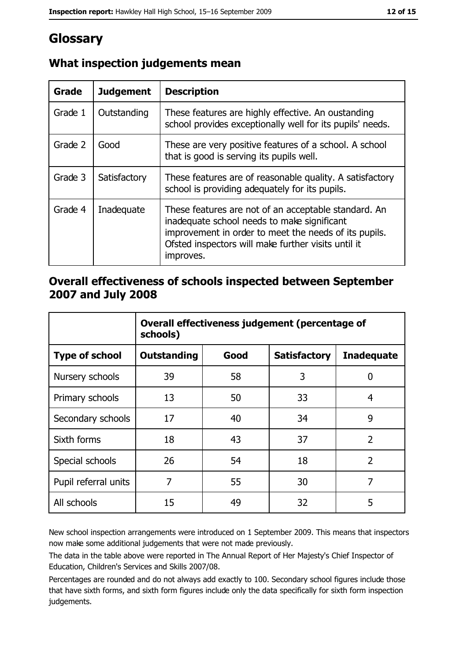# Glossary

| Grade   | <b>Judgement</b> | <b>Description</b>                                                                                                                                                                                                               |
|---------|------------------|----------------------------------------------------------------------------------------------------------------------------------------------------------------------------------------------------------------------------------|
| Grade 1 | Outstanding      | These features are highly effective. An oustanding<br>school provides exceptionally well for its pupils' needs.                                                                                                                  |
| Grade 2 | Good             | These are very positive features of a school. A school<br>that is good is serving its pupils well.                                                                                                                               |
| Grade 3 | Satisfactory     | These features are of reasonable quality. A satisfactory<br>school is providing adequately for its pupils.                                                                                                                       |
| Grade 4 | Inadequate       | These features are not of an acceptable standard. An<br>inadequate school needs to make significant<br>improvement in order to meet the needs of its pupils.<br>Ofsted inspectors will make further visits until it<br>improves. |

# What inspection judgements mean

## Overall effectiveness of schools inspected between September 2007 and July 2008

|                       | Overall effectiveness judgement (percentage of<br>schools) |      |                     |                   |
|-----------------------|------------------------------------------------------------|------|---------------------|-------------------|
| <b>Type of school</b> | Outstanding                                                | Good | <b>Satisfactory</b> | <b>Inadequate</b> |
| Nursery schools       | 39                                                         | 58   | 3                   | 0                 |
| Primary schools       | 13                                                         | 50   | 33                  | 4                 |
| Secondary schools     | 17                                                         | 40   | 34                  | 9                 |
| Sixth forms           | 18                                                         | 43   | 37                  | $\overline{2}$    |
| Special schools       | 26                                                         | 54   | 18                  | $\overline{2}$    |
| Pupil referral units  | 7                                                          | 55   | 30                  | 7                 |
| All schools           | 15                                                         | 49   | 32                  | 5                 |

New school inspection arrangements were introduced on 1 September 2009. This means that inspectors now make some additional judgements that were not made previously.

The data in the table above were reported in The Annual Report of Her Majesty's Chief Inspector of Education, Children's Services and Skills 2007/08.

Percentages are rounded and do not always add exactly to 100. Secondary school figures include those that have sixth forms, and sixth form figures include only the data specifically for sixth form inspection judgements.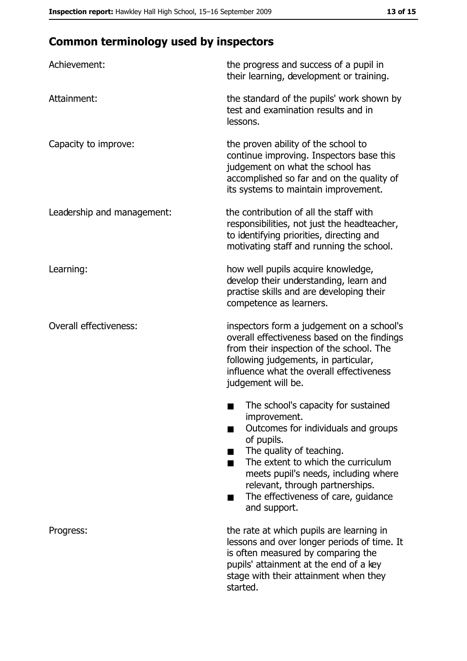# **Common terminology used by inspectors**

| Achievement:                  | the progress and success of a pupil in<br>their learning, development or training.                                                                                                                                                                                                                                |
|-------------------------------|-------------------------------------------------------------------------------------------------------------------------------------------------------------------------------------------------------------------------------------------------------------------------------------------------------------------|
| Attainment:                   | the standard of the pupils' work shown by<br>test and examination results and in<br>lessons.                                                                                                                                                                                                                      |
| Capacity to improve:          | the proven ability of the school to<br>continue improving. Inspectors base this<br>judgement on what the school has<br>accomplished so far and on the quality of<br>its systems to maintain improvement.                                                                                                          |
| Leadership and management:    | the contribution of all the staff with<br>responsibilities, not just the headteacher,<br>to identifying priorities, directing and<br>motivating staff and running the school.                                                                                                                                     |
| Learning:                     | how well pupils acquire knowledge,<br>develop their understanding, learn and<br>practise skills and are developing their<br>competence as learners.                                                                                                                                                               |
| <b>Overall effectiveness:</b> | inspectors form a judgement on a school's<br>overall effectiveness based on the findings<br>from their inspection of the school. The<br>following judgements, in particular,<br>influence what the overall effectiveness<br>judgement will be.                                                                    |
|                               | The school's capacity for sustained<br>improvement.<br>Outcomes for individuals and groups<br>of pupils.<br>The quality of teaching.<br>The extent to which the curriculum<br>meets pupil's needs, including where<br>relevant, through partnerships.<br>The effectiveness of care, guidance<br>■<br>and support. |
| Progress:                     | the rate at which pupils are learning in<br>lessons and over longer periods of time. It<br>is often measured by comparing the<br>pupils' attainment at the end of a key<br>stage with their attainment when they<br>started.                                                                                      |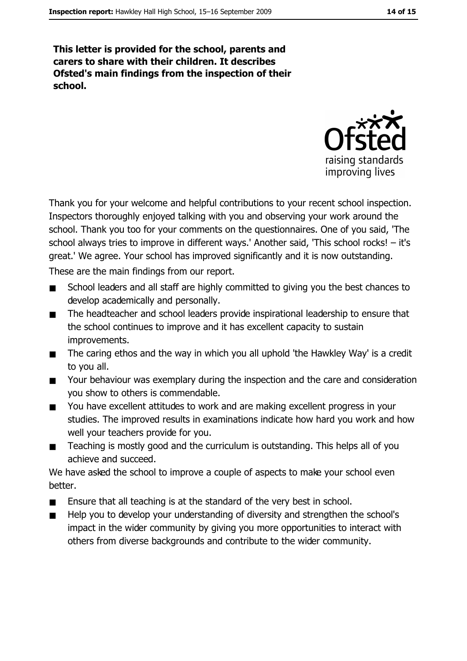This letter is provided for the school, parents and carers to share with their children. It describes Ofsted's main findings from the inspection of their school.



Thank you for your welcome and helpful contributions to your recent school inspection. Inspectors thoroughly enjoyed talking with you and observing your work around the school. Thank you too for your comments on the questionnaires. One of you said, 'The school always tries to improve in different ways.' Another said, 'This school rocks! - it's great.' We agree. Your school has improved significantly and it is now outstanding.

These are the main findings from our report.

- $\blacksquare$ School leaders and all staff are highly committed to giving you the best chances to develop academically and personally.
- The headteacher and school leaders provide inspirational leadership to ensure that  $\blacksquare$ the school continues to improve and it has excellent capacity to sustain improvements.
- The caring ethos and the way in which you all uphold 'the Hawkley Way' is a credit  $\blacksquare$ to you all.
- Your behaviour was exemplary during the inspection and the care and consideration  $\blacksquare$ you show to others is commendable.
- $\blacksquare$ You have excellent attitudes to work and are making excellent progress in your studies. The improved results in examinations indicate how hard you work and how well your teachers provide for you.
- Teaching is mostly good and the curriculum is outstanding. This helps all of you  $\blacksquare$ achieve and succeed.

We have asked the school to improve a couple of aspects to make your school even better.

- $\blacksquare$ Ensure that all teaching is at the standard of the very best in school.
- Help you to develop your understanding of diversity and strengthen the school's  $\blacksquare$ impact in the wider community by giving you more opportunities to interact with others from diverse backgrounds and contribute to the wider community.